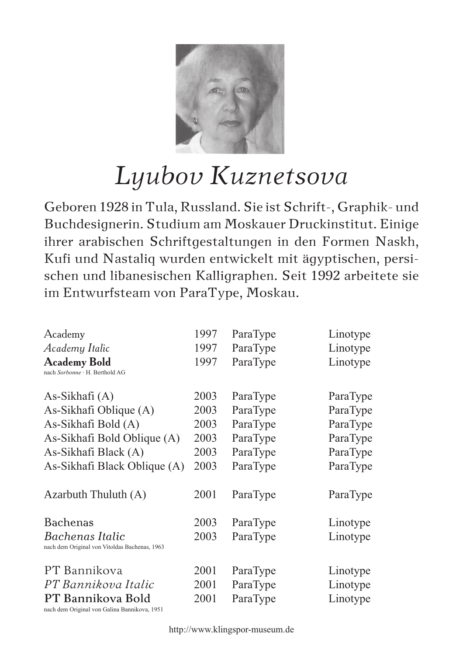

## *Lyubov Kuznetsova*

Geboren 1928 in Tula, Russland. Sie ist Schrift-, Graphik- und Buchdesignerin. Studium am Moskauer Druckinstitut. Einige ihrer arabischen Schriftgestaltungen in den Formen Naskh, Kufi und Nastaliq wurden entwickelt mit ägyptischen, persischen und libanesischen Kalligraphen. Seit 1992 arbeitete sie im Entwurfsteam von ParaType, Moskau.

| Academy                                                           | 1997 | ParaType | Linotype |
|-------------------------------------------------------------------|------|----------|----------|
| Academy Italic                                                    | 1997 | ParaType | Linotype |
| <b>Academy Bold</b><br>nach Sorbonne · H. Berthold AG             | 1997 | ParaType | Linotype |
| As-Sikhafi (A)                                                    | 2003 | ParaType | ParaType |
| As-Sikhafi Oblique (A)                                            | 2003 | ParaType | ParaType |
| As-Sikhafi Bold (A)                                               | 2003 | ParaType | ParaType |
| As-Sikhafi Bold Oblique (A)                                       | 2003 | ParaType | ParaType |
| As-Sikhafi Black (A)                                              | 2003 | ParaType | ParaType |
| As-Sikhafi Black Oblique (A)                                      | 2003 | ParaType | ParaType |
| Azarbuth Thuluth (A)                                              | 2001 | ParaType | ParaType |
| <b>Bachenas</b>                                                   | 2003 | ParaType | Linotype |
| Bachenas Italic<br>nach dem Original von Vitoldas Bachenas, 1963  | 2003 | ParaType | Linotype |
| PT Bannikova                                                      | 2001 | ParaType | Linotype |
| PT Bannikova Italic                                               | 2001 | ParaType | Linotype |
| PT Bannikova Bold<br>nach dem Original von Galina Bannikova, 1951 | 2001 | ParaType | Linotype |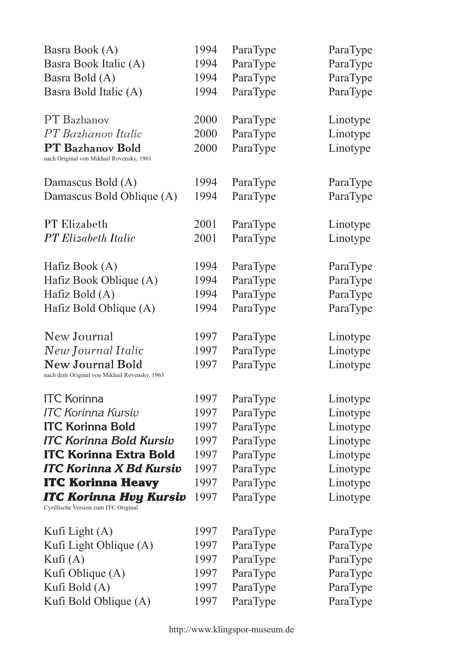| Basra Book (A)                                                          | 1994 | ParaType | ParaType |
|-------------------------------------------------------------------------|------|----------|----------|
| Basra Book Italic (A)                                                   | 1994 | ParaType | ParaType |
| Basra Bold (A)                                                          | 1994 | ParaType | ParaType |
| Basra Bold Italic (A)                                                   | 1994 | ParaType | ParaType |
| PT Bazhanov                                                             | 2000 | ParaType | Linotype |
| PT Bazhanov Italic                                                      | 2000 | ParaType | Linotype |
| <b>PT Bazhanov Bold</b><br>nach Original von Mikhail Rovensky, 1961     | 2000 | ParaType | Linotype |
| Damascus Bold (A)                                                       | 1994 | ParaType | ParaType |
| Damascus Bold Oblique (A)                                               | 1994 | ParaType | ParaType |
| <b>PT Elizabeth</b>                                                     | 2001 | ParaType | Linotype |
| <b>PT</b> Elizabeth Italic                                              | 2001 | ParaType | Linotype |
| Hafiz Book (A)                                                          | 1994 | ParaType | ParaType |
| Hafiz Book Oblique (A)                                                  | 1994 | ParaType | ParaType |
| Hafiz Bold $(A)$                                                        | 1994 | ParaType | ParaType |
| Hafiz Bold Oblique (A)                                                  | 1994 | ParaType | ParaType |
| New Journal                                                             | 1997 | ParaType | Linotype |
| New Journal Italic                                                      | 1997 | ParaType | Linotype |
| <b>New Journal Bold</b><br>nach dem Original von Mikhail Rovensky, 1963 | 1997 | ParaType | Linotype |
| <b>ITC Korinna</b>                                                      | 1997 | ParaType | Linotype |
| <b>ITC Korinna Kursiv</b>                                               | 1997 | ParaType | Linotype |
| <b>ITC Korinna Bold</b>                                                 | 1997 | ParaType | Linotype |
| <b>ITC Korinna Bold Kursiv</b>                                          | 1997 | ParaType | Linotype |
| <b>ITC Korinna Extra Bold</b>                                           | 1997 | ParaType | Linotype |
| <b>ITC Korinna X Bd Kursiv</b>                                          | 1997 | ParaType | Linotype |
| <b>ITC Korinna Heavy</b>                                                | 1997 | ParaType | Linotype |
| ITC Korinna Hvy Kursiv<br>Cyrillische Version zum ITC Original          | 1997 | ParaType | Linotype |
| Kufi Light $(A)$                                                        | 1997 | ParaType | ParaType |
| Kufi Light Oblique (A)                                                  | 1997 | ParaType | ParaType |
| Kufi $(A)$                                                              | 1997 | ParaType | ParaType |
| Kufi Oblique (A)                                                        | 1997 | ParaType | ParaType |
| Kufi Bold (A)                                                           | 1997 | ParaType | ParaType |
| Kufi Bold Oblique (A)                                                   | 1997 | ParaType | ParaType |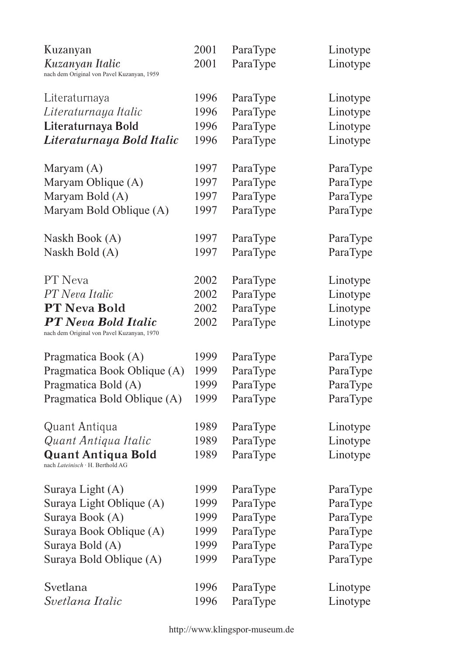| Kuzanyan                                   | 2001 | ParaType | Linotype |
|--------------------------------------------|------|----------|----------|
| Kuzanyan Italic                            | 2001 | ParaType | Linotype |
| nach dem Original von Pavel Kuzanyan, 1959 |      |          |          |
| Literaturnaya                              | 1996 | ParaType | Linotype |
| Literaturnaya Italic                       | 1996 | ParaType | Linotype |
| Literaturnaya Bold                         | 1996 | ParaType | Linotype |
| Literaturnaya Bold Italic                  | 1996 | ParaType | Linotype |
|                                            |      |          |          |
| Maryam $(A)$                               | 1997 | ParaType | ParaType |
| Maryam Oblique (A)                         | 1997 | ParaType | ParaType |
| Maryam Bold (A)                            | 1997 | ParaType | ParaType |
| Maryam Bold Oblique (A)                    | 1997 | ParaType | ParaType |
| Naskh Book (A)                             | 1997 | ParaType | ParaType |
| Naskh Bold (A)                             | 1997 | ParaType | ParaType |
|                                            |      |          |          |
| PT Neva                                    | 2002 | ParaType | Linotype |
| PT Neva Italic                             | 2002 | ParaType | Linotype |
| <b>PT Neva Bold</b>                        | 2002 | ParaType | Linotype |
| <b>PT</b> Neva Bold Italic                 | 2002 | ParaType | Linotype |
| nach dem Original von Pavel Kuzanyan, 1970 |      |          |          |
| Pragmatica Book (A)                        | 1999 | ParaType | ParaType |
| Pragmatica Book Oblique (A)                | 1999 | ParaType | ParaType |
| Pragmatica Bold (A)                        | 1999 | ParaType | ParaType |
| Pragmatica Bold Oblique (A)                | 1999 | ParaType | ParaType |
| Quant Antiqua                              | 1989 | ParaType | Linotype |
| Quant Antiqua Italic                       | 1989 | ParaType | Linotype |
| Quant Antiqua Bold                         | 1989 | ParaType | Linotype |
| nach Lateinisch · H. Berthold AG           |      |          |          |
| Suraya Light (A)                           | 1999 | ParaType | ParaType |
| Suraya Light Oblique (A)                   | 1999 | ParaType | ParaType |
| Suraya Book (A)                            | 1999 | ParaType | ParaType |
| Suraya Book Oblique (A)                    | 1999 | ParaType | ParaType |
| Suraya Bold (A)                            | 1999 | ParaType | ParaType |
| Suraya Bold Oblique (A)                    | 1999 | ParaType | ParaType |
| Svetlana                                   | 1996 | ParaType | Linotype |
| Svetlana Italic                            | 1996 | ParaType | Linotype |